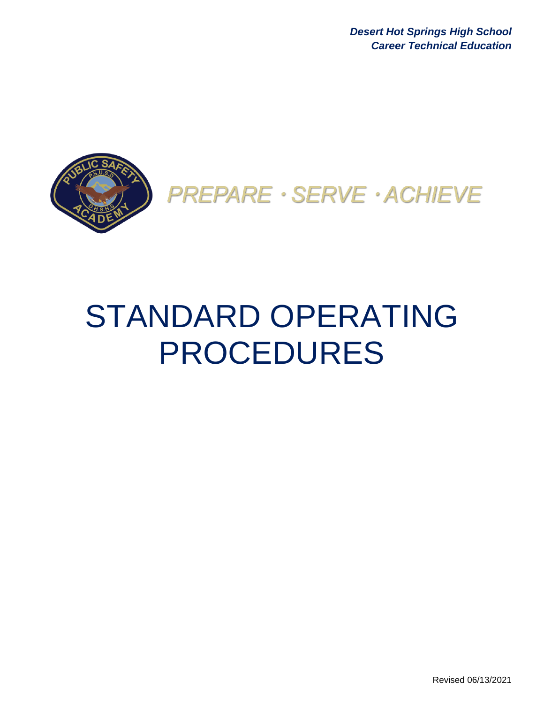*Desert Hot Springs High School Career Technical Education* 



PREPARE · SERVE · ACHIEVE

# STANDARD OPERATING PROCEDURES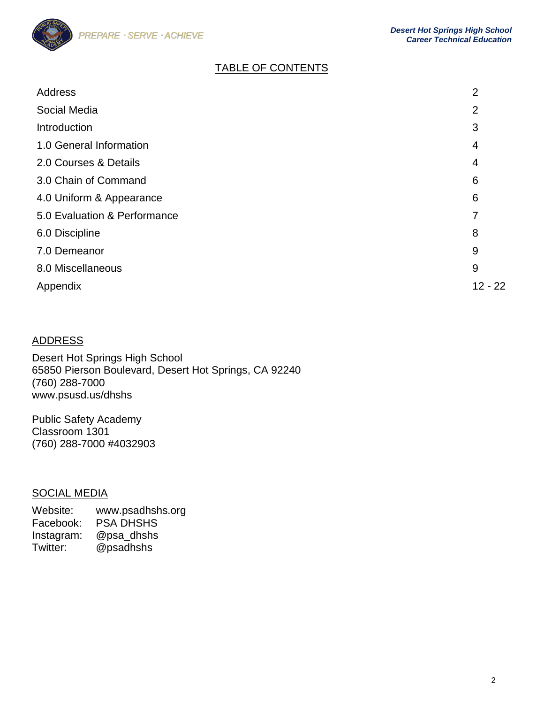

# TABLE OF CONTENTS

| <b>Address</b>               | $\overline{2}$ |
|------------------------------|----------------|
| Social Media                 | $\overline{2}$ |
| Introduction                 | 3              |
| 1.0 General Information      | 4              |
| 2.0 Courses & Details        | 4              |
| 3.0 Chain of Command         | 6              |
| 4.0 Uniform & Appearance     | 6              |
| 5.0 Evaluation & Performance | 7              |
| 6.0 Discipline               | 8              |
| 7.0 Demeanor                 | 9              |
| 8.0 Miscellaneous            | 9              |
| Appendix                     | $12 - 22$      |

# ADDRESS

Desert Hot Springs High School 65850 Pierson Boulevard, Desert Hot Springs, CA 92240 (760) 288-7000 www.psusd.us/dhshs

Public Safety Academy Classroom 1301 (760) 288-7000 #4032903

# SOCIAL MEDIA

Website: www.psadhshs.org Facebook: PSA DHSHS Instagram: @psa\_dhshs Twitter: @psadhshs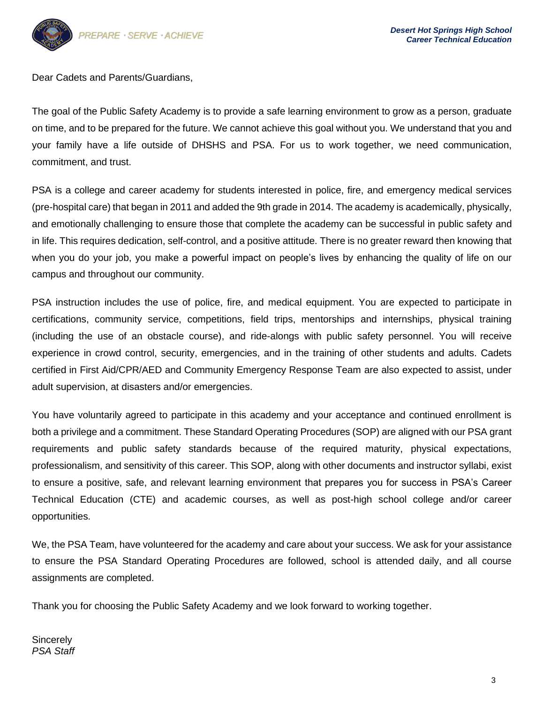

Dear Cadets and Parents/Guardians,

The goal of the Public Safety Academy is to provide a safe learning environment to grow as a person, graduate on time, and to be prepared for the future. We cannot achieve this goal without you. We understand that you and your family have a life outside of DHSHS and PSA. For us to work together, we need communication, commitment, and trust.

PSA is a college and career academy for students interested in police, fire, and emergency medical services (pre-hospital care) that began in 2011 and added the 9th grade in 2014. The academy is academically, physically, and emotionally challenging to ensure those that complete the academy can be successful in public safety and in life. This requires dedication, self-control, and a positive attitude. There is no greater reward then knowing that when you do your job, you make a powerful impact on people's lives by enhancing the quality of life on our campus and throughout our community.

PSA instruction includes the use of police, fire, and medical equipment. You are expected to participate in certifications, community service, competitions, field trips, mentorships and internships, physical training (including the use of an obstacle course), and ride-alongs with public safety personnel. You will receive experience in crowd control, security, emergencies, and in the training of other students and adults. Cadets certified in First Aid/CPR/AED and Community Emergency Response Team are also expected to assist, under adult supervision, at disasters and/or emergencies.

You have voluntarily agreed to participate in this academy and your acceptance and continued enrollment is both a privilege and a commitment. These Standard Operating Procedures (SOP) are aligned with our PSA grant requirements and public safety standards because of the required maturity, physical expectations, professionalism, and sensitivity of this career. This SOP, along with other documents and instructor syllabi, exist to ensure a positive, safe, and relevant learning environment that prepares you for success in PSA's Career Technical Education (CTE) and academic courses, as well as post-high school college and/or career opportunities.

We, the PSA Team, have volunteered for the academy and care about your success. We ask for your assistance to ensure the PSA Standard Operating Procedures are followed, school is attended daily, and all course assignments are completed.

Thank you for choosing the Public Safety Academy and we look forward to working together.

**Sincerely** *PSA Staff*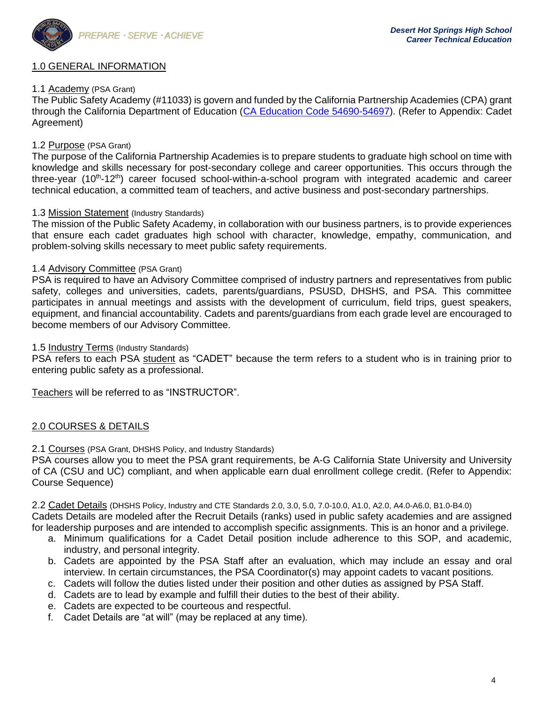

## 1.0 GENERAL INFORMATION

## 1.1 Academy (PSA Grant)

The Public Safety Academy (#11033) is govern and funded by the California Partnership Academies (CPA) grant through the California Department of Education [\(CA Education Code 54690-54697\)](https://leginfo.legislature.ca.gov/faces/codes_displaySection.xhtml?sectionNum=54690.&lawCode=EDC). (Refer to Appendix: Cadet Agreement)

# 1.2 Purpose (PSA Grant)

The purpose of the California Partnership Academies is to prepare students to graduate high school on time with knowledge and skills necessary for post-secondary college and career opportunities. This occurs through the three-year (10<sup>th</sup>-12<sup>th</sup>) career focused school-within-a-school program with integrated academic and career technical education, a committed team of teachers, and active business and post-secondary partnerships.

### 1.3 Mission Statement (Industry Standards)

The mission of the Public Safety Academy, in collaboration with our business partners, is to provide experiences that ensure each cadet graduates high school with character, knowledge, empathy, communication, and problem-solving skills necessary to meet public safety requirements.

## 1.4 Advisory Committee (PSA Grant)

PSA is required to have an Advisory Committee comprised of industry partners and representatives from public safety, colleges and universities, cadets, parents/guardians, PSUSD, DHSHS, and PSA. This committee participates in annual meetings and assists with the development of curriculum, field trips, guest speakers, equipment, and financial accountability. Cadets and parents/guardians from each grade level are encouraged to become members of our Advisory Committee.

## 1.5 **Industry Terms** (Industry Standards)

PSA refers to each PSA student as "CADET" because the term refers to a student who is in training prior to entering public safety as a professional.

Teachers will be referred to as "INSTRUCTOR".

## 2.0 COURSES & DETAILS

## 2.1 Courses (PSA Grant, DHSHS Policy, and Industry Standards)

PSA courses allow you to meet the PSA grant requirements, be A-G California State University and University of CA (CSU and UC) compliant, and when applicable earn dual enrollment college credit. (Refer to Appendix: Course Sequence)

2.2 Cadet Details (DHSHS Policy, Industry and CTE Standards 2.0, 3.0, 5.0, 7.0-10.0, A1.0, A2.0, A4.0-A6.0, B1.0-B4.0) Cadets Details are modeled after the Recruit Details (ranks) used in public safety academies and are assigned for leadership purposes and are intended to accomplish specific assignments. This is an honor and a privilege.

- a. Minimum qualifications for a Cadet Detail position include adherence to this SOP, and academic, industry, and personal integrity.
- b. Cadets are appointed by the PSA Staff after an evaluation, which may include an essay and oral interview. In certain circumstances, the PSA Coordinator(s) may appoint cadets to vacant positions.
- c. Cadets will follow the duties listed under their position and other duties as assigned by PSA Staff.
- d. Cadets are to lead by example and fulfill their duties to the best of their ability.
- e. Cadets are expected to be courteous and respectful.
- f. Cadet Details are "at will" (may be replaced at any time).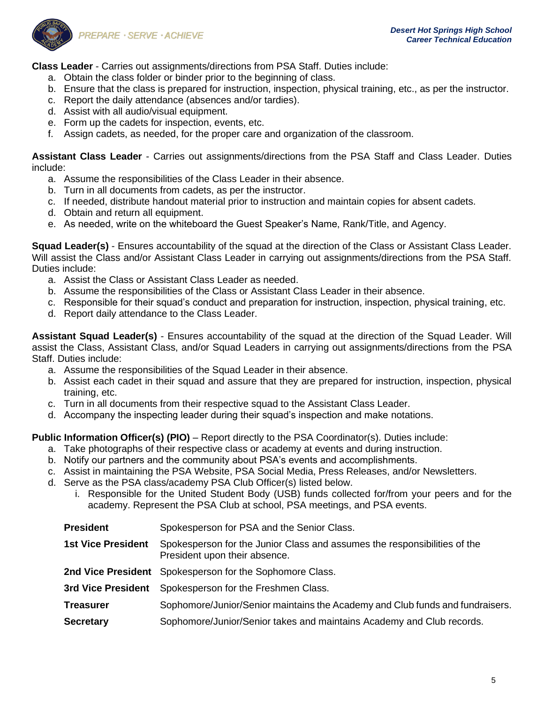

**Class Leader** - Carries out assignments/directions from PSA Staff. Duties include:

- a. Obtain the class folder or binder prior to the beginning of class.
- b. Ensure that the class is prepared for instruction, inspection, physical training, etc., as per the instructor.
- c. Report the daily attendance (absences and/or tardies).
- d. Assist with all audio/visual equipment.
- e. Form up the cadets for inspection, events, etc.
- f. Assign cadets, as needed, for the proper care and organization of the classroom.

**Assistant Class Leader** - Carries out assignments/directions from the PSA Staff and Class Leader. Duties include:

- a. Assume the responsibilities of the Class Leader in their absence.
- b. Turn in all documents from cadets, as per the instructor.
- c. If needed, distribute handout material prior to instruction and maintain copies for absent cadets.
- d. Obtain and return all equipment.
- e. As needed, write on the whiteboard the Guest Speaker's Name, Rank/Title, and Agency.

**Squad Leader(s)** - Ensures accountability of the squad at the direction of the Class or Assistant Class Leader. Will assist the Class and/or Assistant Class Leader in carrying out assignments/directions from the PSA Staff. Duties include:

- a. Assist the Class or Assistant Class Leader as needed.
- b. Assume the responsibilities of the Class or Assistant Class Leader in their absence.
- c. Responsible for their squad's conduct and preparation for instruction, inspection, physical training, etc.
- d. Report daily attendance to the Class Leader.

**Assistant Squad Leader(s)** - Ensures accountability of the squad at the direction of the Squad Leader. Will assist the Class, Assistant Class, and/or Squad Leaders in carrying out assignments/directions from the PSA Staff. Duties include:

- a. Assume the responsibilities of the Squad Leader in their absence.
- b. Assist each cadet in their squad and assure that they are prepared for instruction, inspection, physical training, etc.
- c. Turn in all documents from their respective squad to the Assistant Class Leader.
- d. Accompany the inspecting leader during their squad's inspection and make notations.

**Public Information Officer(s) (PIO)** – Report directly to the PSA Coordinator(s). Duties include:

- a. Take photographs of their respective class or academy at events and during instruction.
- b. Notify our partners and the community about PSA's events and accomplishments.
- c. Assist in maintaining the PSA Website, PSA Social Media, Press Releases, and/or Newsletters.
- d. Serve as the PSA class/academy PSA Club Officer(s) listed below.
	- i. Responsible for the United Student Body (USB) funds collected for/from your peers and for the academy. Represent the PSA Club at school, PSA meetings, and PSA events.

| <b>President</b>          | Spokesperson for PSA and the Senior Class.                                                                 |
|---------------------------|------------------------------------------------------------------------------------------------------------|
| <b>1st Vice President</b> | Spokesperson for the Junior Class and assumes the responsibilities of the<br>President upon their absence. |
|                           | 2nd Vice President Spokesperson for the Sophomore Class.                                                   |
|                           | 3rd Vice President Spokesperson for the Freshmen Class.                                                    |
| <b>Treasurer</b>          | Sophomore/Junior/Senior maintains the Academy and Club funds and fundraisers.                              |
| <b>Secretary</b>          | Sophomore/Junior/Senior takes and maintains Academy and Club records.                                      |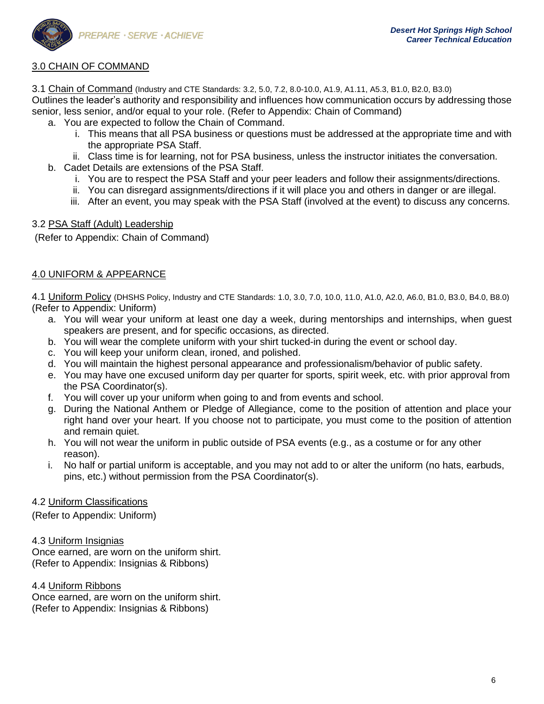

# 3.0 CHAIN OF COMMAND

3.1 Chain of Command (Industry and CTE Standards: 3.2, 5.0, 7.2, 8.0-10.0, A1.9, A1.11, A5.3, B1.0, B2.0, B3.0) Outlines the leader's authority and responsibility and influences how communication occurs by addressing those senior, less senior, and/or equal to your role. (Refer to Appendix: Chain of Command)

- a. You are expected to follow the Chain of Command.
	- i. This means that all PSA business or questions must be addressed at the appropriate time and with the appropriate PSA Staff.
	- ii. Class time is for learning, not for PSA business, unless the instructor initiates the conversation.
- b. Cadet Details are extensions of the PSA Staff.
	- i. You are to respect the PSA Staff and your peer leaders and follow their assignments/directions.
	- ii. You can disregard assignments/directions if it will place you and others in danger or are illegal.
	- iii. After an event, you may speak with the PSA Staff (involved at the event) to discuss any concerns.

# 3.2 PSA Staff (Adult) Leadership

(Refer to Appendix: Chain of Command)

# 4.0 UNIFORM & APPEARNCE

4.1 Uniform Policy (DHSHS Policy, Industry and CTE Standards: 1.0, 3.0, 7.0, 10.0, 11.0, A1.0, A2.0, A6.0, B1.0, B3.0, B4.0, B8.0) (Refer to Appendix: Uniform)

- a. You will wear your uniform at least one day a week, during mentorships and internships, when guest speakers are present, and for specific occasions, as directed.
- b. You will wear the complete uniform with your shirt tucked-in during the event or school day.
- c. You will keep your uniform clean, ironed, and polished.
- d. You will maintain the highest personal appearance and professionalism/behavior of public safety.
- e. You may have one excused uniform day per quarter for sports, spirit week, etc. with prior approval from the PSA Coordinator(s).
- f. You will cover up your uniform when going to and from events and school.
- g. During the National Anthem or Pledge of Allegiance, come to the position of attention and place your right hand over your heart. If you choose not to participate, you must come to the position of attention and remain quiet.
- h. You will not wear the uniform in public outside of PSA events (e.g., as a costume or for any other reason).
- i. No half or partial uniform is acceptable, and you may not add to or alter the uniform (no hats, earbuds, pins, etc.) without permission from the PSA Coordinator(s).

## 4.2 Uniform Classifications

(Refer to Appendix: Uniform)

4.3 Uniform Insignias

Once earned, are worn on the uniform shirt. (Refer to Appendix: Insignias & Ribbons)

4.4 Uniform Ribbons

Once earned, are worn on the uniform shirt. (Refer to Appendix: Insignias & Ribbons)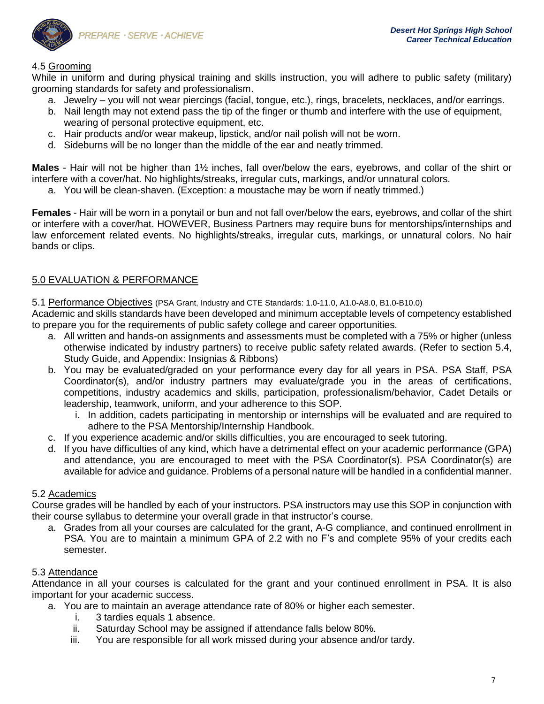

# 4.5 Grooming

While in uniform and during physical training and skills instruction, you will adhere to public safety (military) grooming standards for safety and professionalism.

- a. Jewelry you will not wear piercings (facial, tongue, etc.), rings, bracelets, necklaces, and/or earrings.
- b. Nail length may not extend pass the tip of the finger or thumb and interfere with the use of equipment, wearing of personal protective equipment, etc.
- c. Hair products and/or wear makeup, lipstick, and/or nail polish will not be worn.
- d. Sideburns will be no longer than the middle of the ear and neatly trimmed.

**Males** - Hair will not be higher than 1½ inches, fall over/below the ears, eyebrows, and collar of the shirt or interfere with a cover/hat. No highlights/streaks, irregular cuts, markings, and/or unnatural colors.

a. You will be clean-shaven. (Exception: a moustache may be worn if neatly trimmed.)

**Females** - Hair will be worn in a ponytail or bun and not fall over/below the ears, eyebrows, and collar of the shirt or interfere with a cover/hat. HOWEVER, Business Partners may require buns for mentorships/internships and law enforcement related events. No highlights/streaks, irregular cuts, markings, or unnatural colors. No hair bands or clips.

# 5.0 EVALUATION & PERFORMANCE

5.1 Performance Objectives (PSA Grant, Industry and CTE Standards: 1.0-11.0, A1.0-A8.0, B1.0-B10.0)

Academic and skills standards have been developed and minimum acceptable levels of competency established to prepare you for the requirements of public safety college and career opportunities.

- a. All written and hands-on assignments and assessments must be completed with a 75% or higher (unless otherwise indicated by industry partners) to receive public safety related awards. (Refer to section 5.4, Study Guide, and Appendix: Insignias & Ribbons)
- b. You may be evaluated/graded on your performance every day for all years in PSA. PSA Staff, PSA Coordinator(s), and/or industry partners may evaluate/grade you in the areas of certifications, competitions, industry academics and skills, participation, professionalism/behavior, Cadet Details or leadership, teamwork, uniform, and your adherence to this SOP.
	- i. In addition, cadets participating in mentorship or internships will be evaluated and are required to adhere to the PSA Mentorship/Internship Handbook.
- c. If you experience academic and/or skills difficulties, you are encouraged to seek tutoring.
- d. If you have difficulties of any kind, which have a detrimental effect on your academic performance (GPA) and attendance, you are encouraged to meet with the PSA Coordinator(s). PSA Coordinator(s) are available for advice and guidance. Problems of a personal nature will be handled in a confidential manner.

## 5.2 Academics

Course grades will be handled by each of your instructors. PSA instructors may use this SOP in conjunction with their course syllabus to determine your overall grade in that instructor's course.

a. Grades from all your courses are calculated for the grant, A-G compliance, and continued enrollment in PSA. You are to maintain a minimum GPA of 2.2 with no F's and complete 95% of your credits each semester.

# 5.3 Attendance

Attendance in all your courses is calculated for the grant and your continued enrollment in PSA. It is also important for your academic success.

- a. You are to maintain an average attendance rate of 80% or higher each semester.
	- i. 3 tardies equals 1 absence.
	- ii. Saturday School may be assigned if attendance falls below 80%.
	- iii. You are responsible for all work missed during your absence and/or tardy.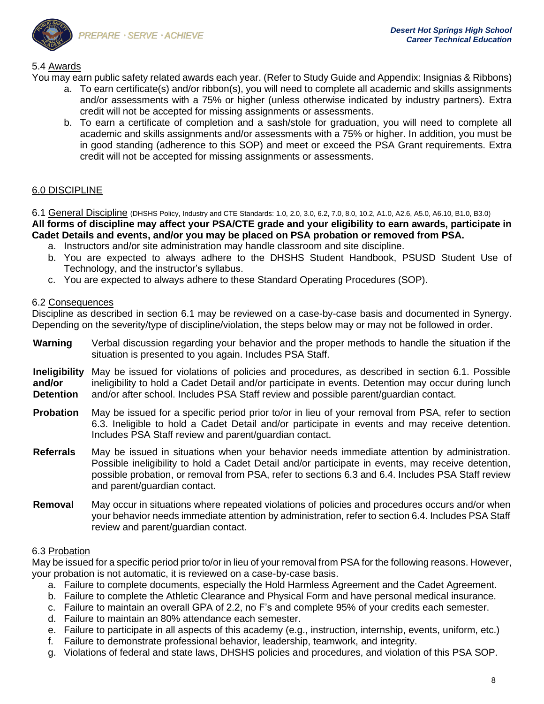

# 5.4 Awards

You may earn public safety related awards each year. (Refer to Study Guide and Appendix: Insignias & Ribbons)

- a. To earn certificate(s) and/or ribbon(s), you will need to complete all academic and skills assignments and/or assessments with a 75% or higher (unless otherwise indicated by industry partners). Extra credit will not be accepted for missing assignments or assessments.
- b. To earn a certificate of completion and a sash/stole for graduation, you will need to complete all academic and skills assignments and/or assessments with a 75% or higher. In addition, you must be in good standing (adherence to this SOP) and meet or exceed the PSA Grant requirements. Extra credit will not be accepted for missing assignments or assessments.

# 6.0 DISCIPLINE

6.1 General Discipline (DHSHS Policy, Industry and CTE Standards: 1.0, 2.0, 3.0, 6.2, 7.0, 8.0, 10.2, A1.0, A2.6, A5.0, A6.10, B1.0, B3.0)

**All forms of discipline may affect your PSA/CTE grade and your eligibility to earn awards, participate in Cadet Details and events, and/or you may be placed on PSA probation or removed from PSA.** 

- a. Instructors and/or site administration may handle classroom and site discipline.
- b. You are expected to always adhere to the DHSHS Student Handbook, PSUSD Student Use of Technology, and the instructor's syllabus.
- c. You are expected to always adhere to these Standard Operating Procedures (SOP).

# 6.2 Consequences

Discipline as described in section 6.1 may be reviewed on a case-by-case basis and documented in Synergy. Depending on the severity/type of discipline/violation, the steps below may or may not be followed in order.

- **Warning** Verbal discussion regarding your behavior and the proper methods to handle the situation if the situation is presented to you again. Includes PSA Staff.
- **Ineligibility and/or Detention** May be issued for violations of policies and procedures, as described in section 6.1. Possible ineligibility to hold a Cadet Detail and/or participate in events. Detention may occur during lunch and/or after school. Includes PSA Staff review and possible parent/guardian contact.
- **Probation** May be issued for a specific period prior to/or in lieu of your removal from PSA, refer to section 6.3. Ineligible to hold a Cadet Detail and/or participate in events and may receive detention. Includes PSA Staff review and parent/guardian contact.
- **Referrals** May be issued in situations when your behavior needs immediate attention by administration. Possible ineligibility to hold a Cadet Detail and/or participate in events, may receive detention, possible probation, or removal from PSA, refer to sections 6.3 and 6.4. Includes PSA Staff review and parent/guardian contact.
- **Removal** May occur in situations where repeated violations of policies and procedures occurs and/or when your behavior needs immediate attention by administration, refer to section 6.4. Includes PSA Staff review and parent/guardian contact.

# 6.3 Probation

May be issued for a specific period prior to/or in lieu of your removal from PSA for the following reasons. However, your probation is not automatic, it is reviewed on a case-by-case basis.

- a. Failure to complete documents, especially the Hold Harmless Agreement and the Cadet Agreement.
- b. Failure to complete the Athletic Clearance and Physical Form and have personal medical insurance.
- c. Failure to maintain an overall GPA of 2.2, no F's and complete 95% of your credits each semester.
- d. Failure to maintain an 80% attendance each semester.
- e. Failure to participate in all aspects of this academy (e.g., instruction, internship, events, uniform, etc.)
- f. Failure to demonstrate professional behavior, leadership, teamwork, and integrity.
- g. Violations of federal and state laws, DHSHS policies and procedures, and violation of this PSA SOP.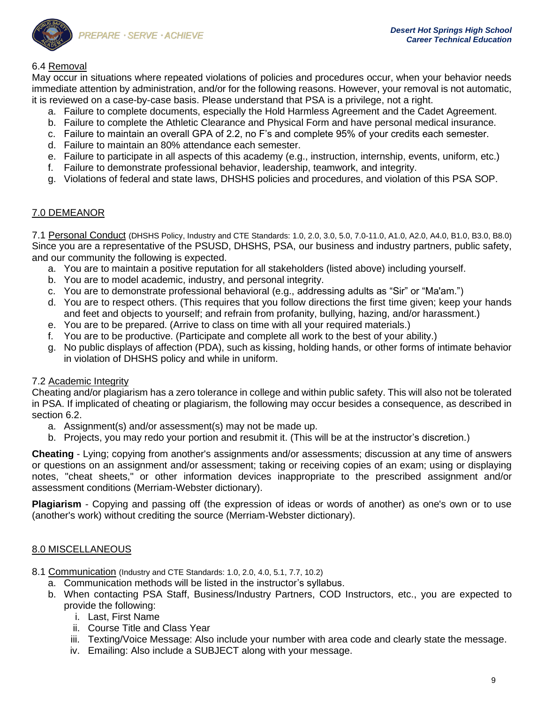

# 6.4 Removal

May occur in situations where repeated violations of policies and procedures occur, when your behavior needs immediate attention by administration, and/or for the following reasons. However, your removal is not automatic, it is reviewed on a case-by-case basis. Please understand that PSA is a privilege, not a right.

- a. Failure to complete documents, especially the Hold Harmless Agreement and the Cadet Agreement.
- b. Failure to complete the Athletic Clearance and Physical Form and have personal medical insurance.
- c. Failure to maintain an overall GPA of 2.2, no F's and complete 95% of your credits each semester.
- d. Failure to maintain an 80% attendance each semester.
- e. Failure to participate in all aspects of this academy (e.g., instruction, internship, events, uniform, etc.)
- f. Failure to demonstrate professional behavior, leadership, teamwork, and integrity.
- g. Violations of federal and state laws, DHSHS policies and procedures, and violation of this PSA SOP.

# 7.0 DEMEANOR

7.1 Personal Conduct (DHSHS Policy, Industry and CTE Standards: 1.0, 2.0, 3.0, 5.0, 7.0-11.0, A1.0, A2.0, A4.0, B1.0, B3.0, B8.0) Since you are a representative of the PSUSD, DHSHS, PSA, our business and industry partners, public safety, and our community the following is expected.

- a. You are to maintain a positive reputation for all stakeholders (listed above) including yourself.
- b. You are to model academic, industry, and personal integrity.
- c. You are to demonstrate professional behavioral (e.g., addressing adults as "Sir" or "Ma'am.")
- d. You are to respect others. (This requires that you follow directions the first time given; keep your hands and feet and objects to yourself; and refrain from profanity, bullying, hazing, and/or harassment.)
- e. You are to be prepared. (Arrive to class on time with all your required materials.)
- f. You are to be productive. (Participate and complete all work to the best of your ability.)
- g. No public displays of affection (PDA), such as kissing, holding hands, or other forms of intimate behavior in violation of DHSHS policy and while in uniform.

# 7.2 Academic Integrity

Cheating and/or plagiarism has a zero tolerance in college and within public safety. This will also not be tolerated in PSA. If implicated of cheating or plagiarism, the following may occur besides a consequence, as described in section 6.2.

- a. Assignment(s) and/or assessment(s) may not be made up.
- b. Projects, you may redo your portion and resubmit it. (This will be at the instructor's discretion.)

**Cheating** - Lying; copying from another's assignments and/or assessments; discussion at any time of answers or questions on an assignment and/or assessment; taking or receiving copies of an exam; using or displaying notes, "cheat sheets," or other information devices inappropriate to the prescribed assignment and/or assessment conditions (Merriam-Webster dictionary).

**Plagiarism** - Copying and passing off (the expression of ideas or words of another) as one's own or to use (another's work) without crediting the source (Merriam-Webster dictionary).

# 8.0 MISCELLANEOUS

- 8.1 Communication (Industry and CTE Standards: 1.0, 2.0, 4.0, 5.1, 7.7, 10.2)
	- a. Communication methods will be listed in the instructor's syllabus.
	- b. When contacting PSA Staff, Business/Industry Partners, COD Instructors, etc., you are expected to provide the following:
		- i. Last, First Name
		- ii. Course Title and Class Year
		- iii. Texting/Voice Message: Also include your number with area code and clearly state the message.
		- iv. Emailing: Also include a SUBJECT along with your message.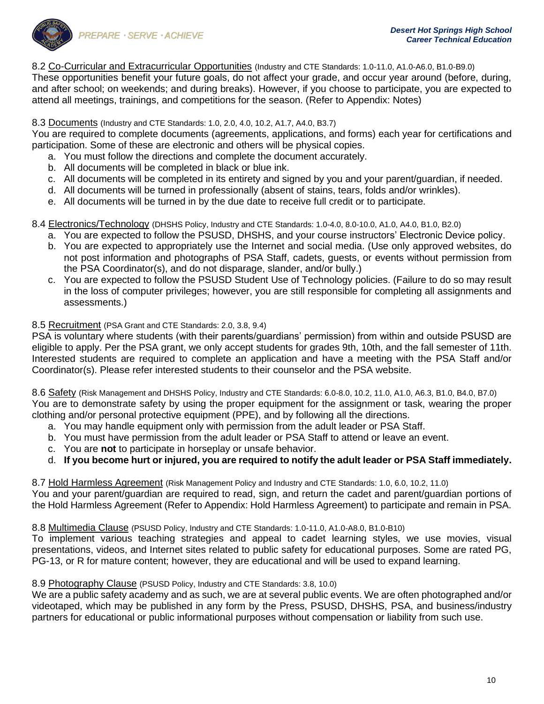

# 8.2 Co-Curricular and Extracurricular Opportunities (Industry and CTE Standards: 1.0-11.0, A1.0-A6.0, B1.0-B9.0)

These opportunities benefit your future goals, do not affect your grade, and occur year around (before, during, and after school; on weekends; and during breaks). However, if you choose to participate, you are expected to attend all meetings, trainings, and competitions for the season. (Refer to Appendix: Notes)

## 8.3 Documents (Industry and CTE Standards: 1.0, 2.0, 4.0, 10.2, A1.7, A4.0, B3.7)

You are required to complete documents (agreements, applications, and forms) each year for certifications and participation. Some of these are electronic and others will be physical copies.

- a. You must follow the directions and complete the document accurately.
- b. All documents will be completed in black or blue ink.
- c. All documents will be completed in its entirety and signed by you and your parent/guardian, if needed.
- d. All documents will be turned in professionally (absent of stains, tears, folds and/or wrinkles).
- e. All documents will be turned in by the due date to receive full credit or to participate.

## 8.4 Electronics/Technology (DHSHS Policy, Industry and CTE Standards: 1.0-4.0, 8.0-10.0, A1.0, A4.0, B1.0, B2.0)

- a. You are expected to follow the PSUSD, DHSHS, and your course instructors' Electronic Device policy.
- b. You are expected to appropriately use the Internet and social media. (Use only approved websites, do not post information and photographs of PSA Staff, cadets, guests, or events without permission from the PSA Coordinator(s), and do not disparage, slander, and/or bully.)
- c. You are expected to follow the PSUSD Student Use of Technology policies. (Failure to do so may result in the loss of computer privileges; however, you are still responsible for completing all assignments and assessments.)

## 8.5 Recruitment (PSA Grant and CTE Standards: 2.0, 3.8, 9.4)

PSA is voluntary where students (with their parents/guardians' permission) from within and outside PSUSD are eligible to apply. Per the PSA grant, we only accept students for grades 9th, 10th, and the fall semester of 11th. Interested students are required to complete an application and have a meeting with the PSA Staff and/or Coordinator(s). Please refer interested students to their counselor and the PSA website.

8.6 Safety (Risk Management and DHSHS Policy, Industry and CTE Standards: 6.0-8.0, 10.2, 11.0, A1.0, A6.3, B1.0, B4.0, B7.0) You are to demonstrate safety by using the proper equipment for the assignment or task, wearing the proper clothing and/or personal protective equipment (PPE), and by following all the directions.

- a. You may handle equipment only with permission from the adult leader or PSA Staff.
- b. You must have permission from the adult leader or PSA Staff to attend or leave an event.
- c. You are **not** to participate in horseplay or unsafe behavior.

# d. **If you become hurt or injured, you are required to notify the adult leader or PSA Staff immediately.**

8.7 Hold Harmless Agreement (Risk Management Policy and Industry and CTE Standards: 1.0, 6.0, 10.2, 11.0)

You and your parent/guardian are required to read, sign, and return the cadet and parent/guardian portions of the Hold Harmless Agreement (Refer to Appendix: Hold Harmless Agreement) to participate and remain in PSA.

8.8 Multimedia Clause (PSUSD Policy, Industry and CTE Standards: 1.0-11.0, A1.0-A8.0, B1.0-B10)

To implement various teaching strategies and appeal to cadet learning styles, we use movies, visual presentations, videos, and Internet sites related to public safety for educational purposes. Some are rated PG, PG-13, or R for mature content; however, they are educational and will be used to expand learning.

## 8.9 Photography Clause (PSUSD Policy, Industry and CTE Standards: 3.8, 10.0)

We are a public safety academy and as such, we are at several public events. We are often photographed and/or videotaped, which may be published in any form by the Press, PSUSD, DHSHS, PSA, and business/industry partners for educational or public informational purposes without compensation or liability from such use.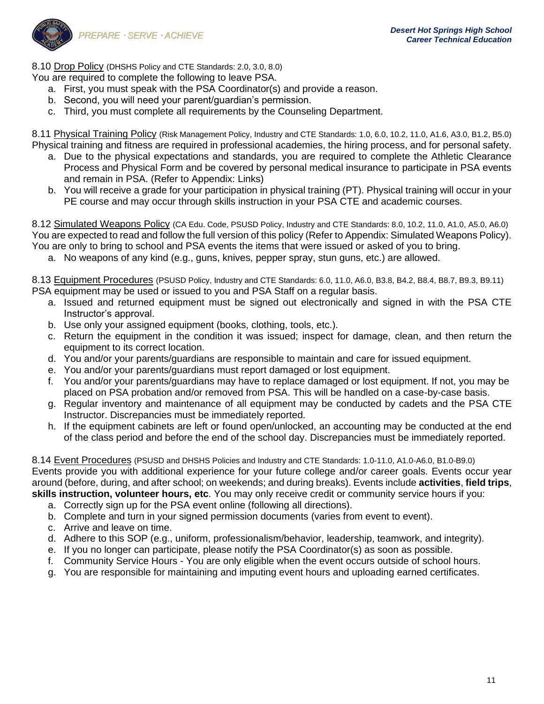8.10 Drop Policy (DHSHS Policy and CTE Standards: 2.0, 3.0, 8.0)

You are required to complete the following to leave PSA.

- a. First, you must speak with the PSA Coordinator(s) and provide a reason.
- b. Second, you will need your parent/guardian's permission.
- c. Third, you must complete all requirements by the Counseling Department.

8.11 Physical Training Policy (Risk Management Policy, Industry and CTE Standards: 1.0, 6.0, 10.2, 11.0, A1.6, A3.0, B1.2, B5.0) Physical training and fitness are required in professional academies, the hiring process, and for personal safety.

- a. Due to the physical expectations and standards, you are required to complete the Athletic Clearance Process and Physical Form and be covered by personal medical insurance to participate in PSA events and remain in PSA. (Refer to Appendix: Links)
- b. You will receive a grade for your participation in physical training (PT). Physical training will occur in your PE course and may occur through skills instruction in your PSA CTE and academic courses.

8.12 Simulated Weapons Policy (CA Edu. Code, PSUSD Policy, Industry and CTE Standards: 8.0, 10.2, 11.0, A1.0, A5.0, A6.0) You are expected to read and follow the full version of this policy (Refer to Appendix: Simulated Weapons Policy). You are only to bring to school and PSA events the items that were issued or asked of you to bring.

a. No weapons of any kind (e.g., guns, knives, pepper spray, stun guns, etc.) are allowed.

8.13 Equipment Procedures (PSUSD Policy, Industry and CTE Standards: 6.0, 11.0, A6.0, B3.8, B4.2, B8.4, B8.7, B9.3, B9.11) PSA equipment may be used or issued to you and PSA Staff on a regular basis.

- a. Issued and returned equipment must be signed out electronically and signed in with the PSA CTE Instructor's approval.
- b. Use only your assigned equipment (books, clothing, tools, etc.).
- c. Return the equipment in the condition it was issued; inspect for damage, clean, and then return the equipment to its correct location.
- d. You and/or your parents/guardians are responsible to maintain and care for issued equipment.
- e. You and/or your parents/guardians must report damaged or lost equipment.
- f. You and/or your parents/guardians may have to replace damaged or lost equipment. If not, you may be placed on PSA probation and/or removed from PSA. This will be handled on a case-by-case basis.
- g. Regular inventory and maintenance of all equipment may be conducted by cadets and the PSA CTE Instructor. Discrepancies must be immediately reported.
- h. If the equipment cabinets are left or found open/unlocked, an accounting may be conducted at the end of the class period and before the end of the school day. Discrepancies must be immediately reported.

8.14 Event Procedures (PSUSD and DHSHS Policies and Industry and CTE Standards: 1.0-11.0, A1.0-A6.0, B1.0-B9.0) Events provide you with additional experience for your future college and/or career goals. Events occur year around (before, during, and after school; on weekends; and during breaks). Events include **activities**, **field trips**, **skills instruction, volunteer hours, etc**. You may only receive credit or community service hours if you:

- a. Correctly sign up for the PSA event online (following all directions).
- b. Complete and turn in your signed permission documents (varies from event to event).
- c. Arrive and leave on time.
- d. Adhere to this SOP (e.g., uniform, professionalism/behavior, leadership, teamwork, and integrity).
- e. If you no longer can participate, please notify the PSA Coordinator(s) as soon as possible.
- f. Community Service Hours You are only eligible when the event occurs outside of school hours.
- g. You are responsible for maintaining and imputing event hours and uploading earned certificates.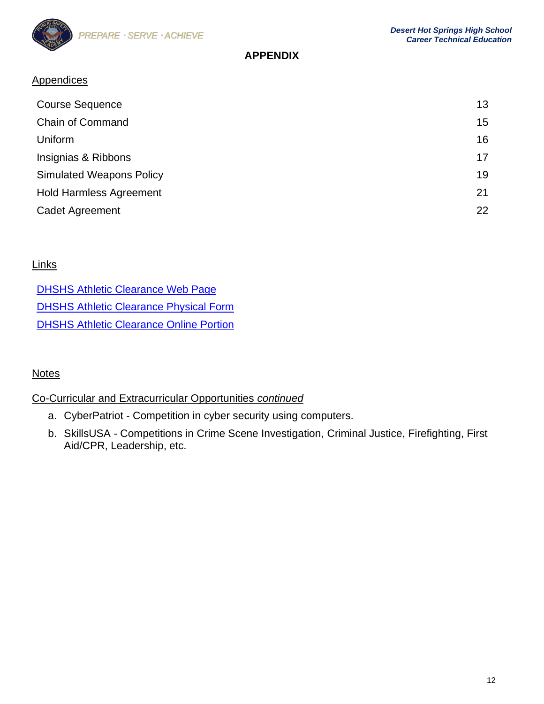

# **APPENDIX**

# **Appendices**

| <b>Course Sequence</b>          | 13              |
|---------------------------------|-----------------|
| <b>Chain of Command</b>         | 15 <sub>1</sub> |
| Uniform                         | 16              |
| Insignias & Ribbons             | 17              |
| <b>Simulated Weapons Policy</b> | 19              |
| <b>Hold Harmless Agreement</b>  | 21              |
| <b>Cadet Agreement</b>          | 22              |

# **Links**

| <b>DHSHS Athletic Clearance Web Page</b>       |
|------------------------------------------------|
| <b>DHSHS Athletic Clearance Physical Form</b>  |
| <b>DHSHS Athletic Clearance Online Portion</b> |

# **Notes**

# Co-Curricular and Extracurricular Opportunities *continued*

- a. CyberPatriot Competition in cyber security using computers.
- b. SkillsUSA Competitions in Crime Scene Investigation, Criminal Justice, Firefighting, First Aid/CPR, Leadership, etc.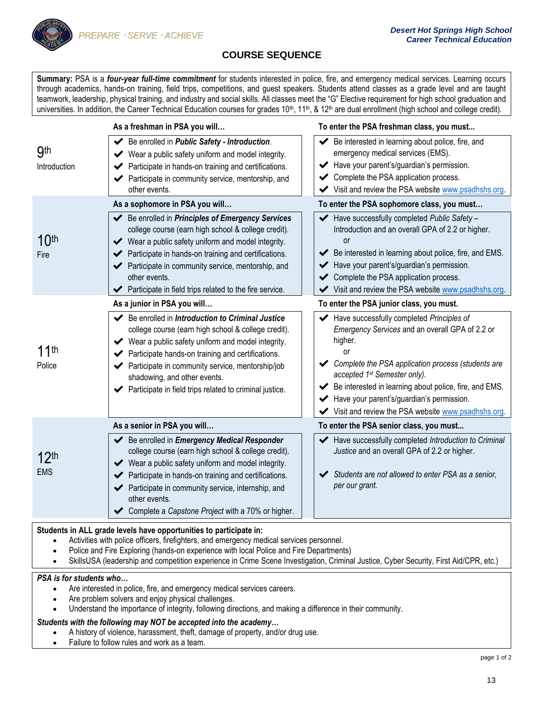

# **COURSE SEQUENCE**

**Summary:** PSA is a *four-year full-time commitment* for students interested in police, fire, and emergency medical services. Learning occurs through academics, hands-on training, field trips, competitions, and guest speakers. Students attend classes as a grade level and are taught teamwork, leadership, physical training, and industry and social skills. All classes meet the "G" Elective requirement for high school graduation and universities. In addition, the Career Technical Education courses for grades  $10^{\text{th}}$ ,  $11^{\text{th}}$ , &  $12^{\text{th}}$  are dual enrollment (high school and college credit).

|                                | As a freshman in PSA you will                                                                                                                                                                                                                                                                                                                                                                     | To enter the PSA freshman class, you must                                                                                                                                                                                                                                                                                                                                      |
|--------------------------------|---------------------------------------------------------------------------------------------------------------------------------------------------------------------------------------------------------------------------------------------------------------------------------------------------------------------------------------------------------------------------------------------------|--------------------------------------------------------------------------------------------------------------------------------------------------------------------------------------------------------------------------------------------------------------------------------------------------------------------------------------------------------------------------------|
| <b>9th</b><br>Introduction     | Be enrolled in Public Safety - Introduction.<br>✔<br>◆ Wear a public safety uniform and model integrity.<br>Participate in hands-on training and certifications.<br>◆ Participate in community service, mentorship, and<br>other events.                                                                                                                                                          | Be interested in learning about police, fire, and<br>emergency medical services (EMS).<br>Have your parent's/guardian's permission.<br>← Complete the PSA application process.<br>Visit and review the PSA website www.psadhshs.org.                                                                                                                                           |
|                                | As a sophomore in PSA you will                                                                                                                                                                                                                                                                                                                                                                    | To enter the PSA sophomore class, you must                                                                                                                                                                                                                                                                                                                                     |
| 10 <sup>th</sup><br>Fire       | Be enrolled in Principles of Emergency Services<br>college course (earn high school & college credit).<br>◆ Wear a public safety uniform and model integrity.<br>Participate in hands-on training and certifications.<br>Participate in community service, mentorship, and<br>other events.<br>Participate in field trips related to the fire service.                                            | Have successfully completed Public Safety -<br>Introduction and an overall GPA of 2.2 or higher.<br>or<br>◆ Be interested in learning about police, fire, and EMS.<br>Have your parent's/guardian's permission.<br>Complete the PSA application process.<br>Visit and review the PSA website www.psadhshs.org.                                                                 |
|                                | As a junior in PSA you will                                                                                                                                                                                                                                                                                                                                                                       | To enter the PSA junior class, you must.                                                                                                                                                                                                                                                                                                                                       |
| 11th<br>Police                 | ← Be enrolled in Introduction to Criminal Justice<br>college course (earn high school & college credit).<br>◆ Wear a public safety uniform and model integrity.<br>← Participate hands-on training and certifications.<br>← Participate in community service, mentorship/job<br>shadowing, and other events.<br>◆ Participate in field trips related to criminal justice.                         | Have successfully completed Principles of<br>Emergency Services and an overall GPA of 2.2 or<br>higher.<br>or<br>Complete the PSA application process (students are<br>accepted 1 <sup>st</sup> Semester only).<br>◆ Be interested in learning about police, fire, and EMS.<br>Have your parent's/guardian's permission.<br>Visit and review the PSA website www.psadhshs.org. |
|                                | As a senior in PSA you will                                                                                                                                                                                                                                                                                                                                                                       | To enter the PSA senior class, you must                                                                                                                                                                                                                                                                                                                                        |
| 12 <sup>th</sup><br><b>EMS</b> | ◆ Be enrolled in <i>Emergency Medical Responder</i><br>college course (earn high school & college credit).<br>◆ Wear a public safety uniform and model integrity.<br>Participate in hands-on training and certifications.<br>◆ Participate in community service, internship, and<br>other events.<br>Complete a Capstone Project with a 70% or higher.                                            | Have successfully completed Introduction to Criminal<br>Justice and an overall GPA of 2.2 or higher.<br>Students are not allowed to enter PSA as a senior,<br>per our grant.                                                                                                                                                                                                   |
|                                | Students in ALL grade levels have opportunities to participate in:<br>Activities with police officers, firefighters, and emergency medical services personnel.<br>Police and Fire Exploring (hands-on experience with local Police and Fire Departments)<br>SkillsUSA (leadership and competition experience in Crime Scene Investigation, Criminal Justice, Cyber Security, First Aid/CPR, etc.) |                                                                                                                                                                                                                                                                                                                                                                                |

### *PSA is for students who…*

- Are interested in police, fire, and emergency medical services careers.
- Are problem solvers and enjoy physical challenges.
- Understand the importance of integrity, following directions, and making a difference in their community.

## *Students with the following may NOT be accepted into the academy…*

- A history of violence, harassment, theft, damage of property, and/or drug use.
- Failure to follow rules and work as a team.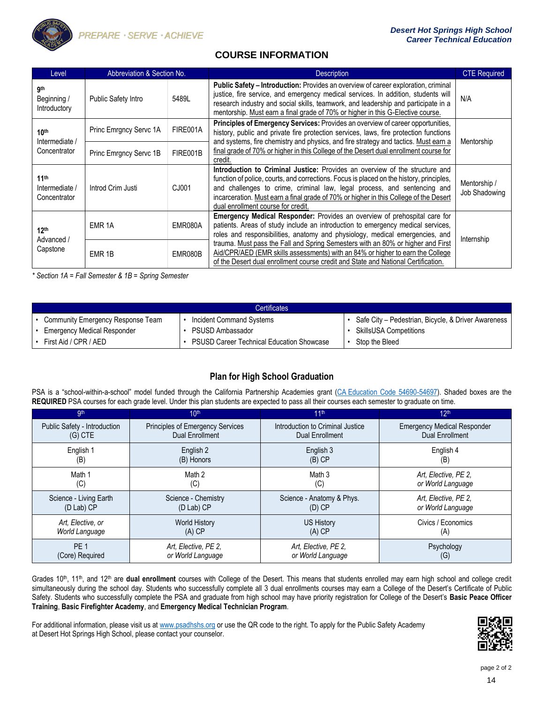

# **COURSE INFORMATION**

| Level                                              | Abbreviation & Section No. |          | <b>Description</b>                                                                                                                                                                                                                                                                                                                                                                 | <b>CTE Required</b>           |
|----------------------------------------------------|----------------------------|----------|------------------------------------------------------------------------------------------------------------------------------------------------------------------------------------------------------------------------------------------------------------------------------------------------------------------------------------------------------------------------------------|-------------------------------|
| <b>gth</b><br>Beginning /<br>Introductory          | <b>Public Safety Intro</b> | 5489L    | Public Safety - Introduction: Provides an overview of career exploration, criminal<br>justice, fire service, and emergency medical services. In addition, students will<br>research industry and social skills, teamwork, and leadership and participate in a<br>mentorship. Must earn a final grade of 70% or higher in this G-Elective course.                                   | N/A                           |
| 10 <sup>th</sup><br>Intermediate /                 | Princ Emrgncy Servc 1A     | FIRE001A | Principles of Emergency Services: Provides an overview of career opportunities,<br>history, public and private fire protection services, laws, fire protection functions<br>and systems, fire chemistry and physics, and fire strategy and tactics. Must earn a                                                                                                                    | Mentorship                    |
| Concentrator                                       | Princ Emrgncy Servc 1B     | FIRE001B | final grade of 70% or higher in this College of the Desert dual enrollment course for<br>credit.                                                                                                                                                                                                                                                                                   |                               |
| 11 <sup>th</sup><br>Intermediate /<br>Concentrator | Introd Crim Justi          | CJ001    | Introduction to Criminal Justice: Provides an overview of the structure and<br>function of police, courts, and corrections. Focus is placed on the history, principles,<br>and challenges to crime, criminal law, legal process, and sentencing and<br>incarceration. Must earn a final grade of 70% or higher in this College of the Desert<br>dual enrollment course for credit. | Mentorship /<br>Job Shadowing |
| 12 <sup>th</sup><br>Advanced /                     | EMR <sub>1A</sub>          | EMR080A  | <b>Emergency Medical Responder:</b> Provides an overview of prehospital care for<br>patients. Areas of study include an introduction to emergency medical services,<br>roles and responsibilities, anatomy and physiology, medical emergencies, and                                                                                                                                | Internship                    |
| Capstone                                           | EMR <sub>1B</sub>          | EMR080B  | trauma. Must pass the Fall and Spring Semesters with an 80% or higher and First<br>Aid/CPR/AED (EMR skills assessments) with an 84% or higher to earn the College<br>of the Desert dual enrollment course credit and State and National Certification.                                                                                                                             |                               |

*\* Section 1A = Fall Semester & 1B = Spring Semester*

| <b>Certificates</b>                |                                                  |                                                     |  |  |
|------------------------------------|--------------------------------------------------|-----------------------------------------------------|--|--|
| Community Emergency Response Team  | Incident Command Systems                         | Safe City - Pedestrian, Bicycle, & Driver Awareness |  |  |
| <b>Emergency Medical Responder</b> | PSUSD Ambassador                                 | <b>SkillsUSA Competitions</b>                       |  |  |
| First Aid / CPR / AED              | <b>PSUSD Career Technical Education Showcase</b> | Stop the Bleed                                      |  |  |

# **Plan for High School Graduation**

PSA is a "school-within-a-school" model funded through the California Partnership Academies grant (CA [Education Code 54690-54697\).](http://leginfo.legislature.ca.gov/faces/codes_displaySection.xhtml?sectionNum=54690.&lawCode=EDC) Shaded boxes are the **REQUIRED** PSA courses for each grade level. Under this plan students are expected to pass all their courses each semester to graduate on time.

| gth                          | 10 <sup>th</sup>                 | 11 <sup>th</sup>                 | 12 <sup>th</sup>                   |
|------------------------------|----------------------------------|----------------------------------|------------------------------------|
| Public Safety - Introduction | Principles of Emergency Services | Introduction to Criminal Justice | <b>Emergency Medical Responder</b> |
| $(G)$ CTE                    | <b>Dual Enrollment</b>           | <b>Dual Enrollment</b>           | <b>Dual Enrollment</b>             |
| English 1                    | English 2                        | English 3                        | English 4                          |
| (B)                          | (B) Honors                       | $(B)$ CP                         | (B)                                |
| Math 1                       | Math 2                           | Math 3                           | Art, Elective, PE 2,               |
| (C)                          | (C)                              | (C)                              | or World Language                  |
| Science - Living Earth       | Science - Chemistry              | Science - Anatomy & Phys.        | Art, Elective, PE 2,               |
| (D Lab) CP                   | (D Lab) CP                       | $(D)$ CP                         | or World Language                  |
| Art, Elective, or            | <b>World History</b>             | <b>US History</b>                | Civics / Economics                 |
| World Language               | $(A)$ CP                         | $(A)$ CP                         | (A)                                |
| PF <sub>1</sub>              | Art. Elective, PE 2,             | Art. Elective, PE 2,             | Psychology                         |
| (Core) Required              | or World Language                | or World Language                | (G)                                |

Grades 10th, 11th, and 12th are **dual enrollment** courses with College of the Desert. This means that students enrolled may earn high school and college credit simultaneously during the school day. Students who successfully complete all 3 dual enrollments courses may earn a College of the Desert's Certificate of Public Safety. Students who successfully complete the PSA and graduate from high school may have priority registration for College of the Desert's **Basic Peace Officer Training**, **Basic Firefighter Academy**, and **Emergency Medical Technician Program**.

For additional information, please visit us at [www.psadhshs.org](http://www.psadhshs.org/) or use the QR code to the right. To apply for the Public Safety Academy at Desert Hot Springs High School, please contact your counselor.

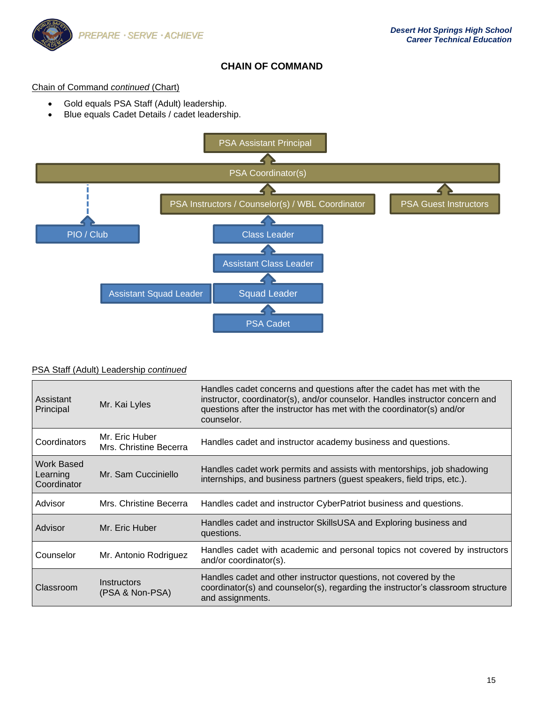

# **CHAIN OF COMMAND**

## Chain of Command *continued* (Chart)

- Gold equals PSA Staff (Adult) leadership.
- Blue equals Cadet Details / cadet leadership.



|  | PSA Staff (Adult) Leadership continued |  |
|--|----------------------------------------|--|
|  |                                        |  |

| Assistant<br>Principal                | Mr. Kai Lyles                                       | Handles cadet concerns and questions after the cadet has met with the<br>instructor, coordinator(s), and/or counselor. Handles instructor concern and<br>questions after the instructor has met with the coordinator(s) and/or<br>counselor. |
|---------------------------------------|-----------------------------------------------------|----------------------------------------------------------------------------------------------------------------------------------------------------------------------------------------------------------------------------------------------|
| Coordinators                          | Mr. Eric Huber<br>Mrs. Christine Becerra            | Handles cadet and instructor academy business and questions.                                                                                                                                                                                 |
| Work Based<br>Learning<br>Coordinator | Mr. Sam Cucciniello                                 | Handles cadet work permits and assists with mentorships, job shadowing<br>internships, and business partners (guest speakers, field trips, etc.).                                                                                            |
| Advisor                               | Mrs. Christine Becerra                              | Handles cadet and instructor CyberPatriot business and questions.                                                                                                                                                                            |
| Advisor                               | Mr. Eric Huber                                      | Handles cadet and instructor SkillsUSA and Exploring business and<br>questions.                                                                                                                                                              |
| Counselor                             | Mr. Antonio Rodriguez                               | Handles cadet with academic and personal topics not covered by instructors<br>and/or coordinator(s).                                                                                                                                         |
| Classroom                             | <i><u><b>Instructors</b></u></i><br>(PSA & Non-PSA) | Handles cadet and other instructor questions, not covered by the<br>coordinator(s) and counselor(s), regarding the instructor's classroom structure<br>and assignments.                                                                      |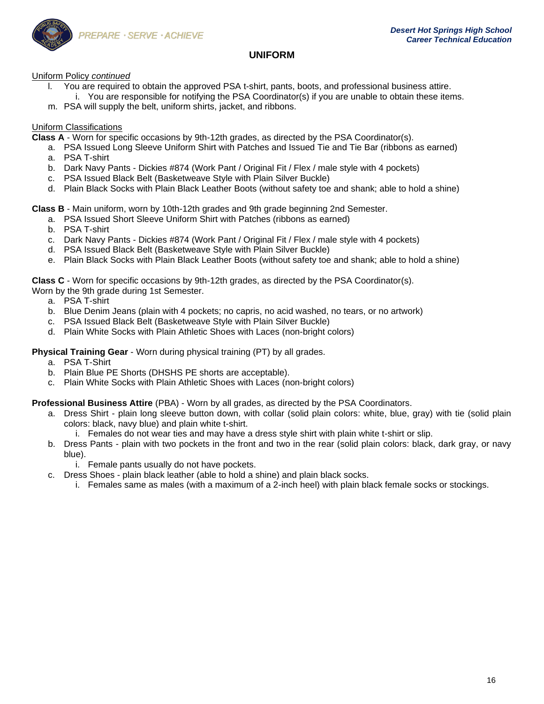

## **UNIFORM**

Uniform Policy *continued*

- l. You are required to obtain the approved PSA t-shirt, pants, boots, and professional business attire. i. You are responsible for notifying the PSA Coordinator(s) if you are unable to obtain these items.
- m. PSA will supply the belt, uniform shirts, jacket, and ribbons.

## Uniform Classifications

**Class A** - Worn for specific occasions by 9th-12th grades, as directed by the PSA Coordinator(s).

- a. PSA Issued Long Sleeve Uniform Shirt with Patches and Issued Tie and Tie Bar (ribbons as earned)
- a. PSA T-shirt
- b. Dark Navy Pants Dickies #874 (Work Pant / Original Fit / Flex / male style with 4 pockets)
- c. PSA Issued Black Belt (Basketweave Style with Plain Silver Buckle)
- d. Plain Black Socks with Plain Black Leather Boots (without safety toe and shank; able to hold a shine)

**Class B** - Main uniform, worn by 10th-12th grades and 9th grade beginning 2nd Semester.

- a. PSA Issued Short Sleeve Uniform Shirt with Patches (ribbons as earned)
- b. PSA T-shirt
- c. Dark Navy Pants Dickies #874 (Work Pant / Original Fit / Flex / male style with 4 pockets)
- d. PSA Issued Black Belt (Basketweave Style with Plain Silver Buckle)
- e. Plain Black Socks with Plain Black Leather Boots (without safety toe and shank; able to hold a shine)

**Class C** - Worn for specific occasions by 9th-12th grades, as directed by the PSA Coordinator(s).

- Worn by the 9th grade during 1st Semester.
	- a. PSA T-shirt
	- b. Blue Denim Jeans (plain with 4 pockets; no capris, no acid washed, no tears, or no artwork)
	- c. PSA Issued Black Belt (Basketweave Style with Plain Silver Buckle)
	- d. Plain White Socks with Plain Athletic Shoes with Laces (non-bright colors)

## **Physical Training Gear** - Worn during physical training (PT) by all grades.

- a. PSA T-Shirt
- b. Plain Blue PE Shorts (DHSHS PE shorts are acceptable).
- c. Plain White Socks with Plain Athletic Shoes with Laces (non-bright colors)

### **Professional Business Attire** (PBA) - Worn by all grades, as directed by the PSA Coordinators.

- a. Dress Shirt plain long sleeve button down, with collar (solid plain colors: white, blue, gray) with tie (solid plain colors: black, navy blue) and plain white t-shirt.
	- i. Females do not wear ties and may have a dress style shirt with plain white t-shirt or slip.
- b. Dress Pants plain with two pockets in the front and two in the rear (solid plain colors: black, dark gray, or navy blue).
	- i. Female pants usually do not have pockets.
- c. Dress Shoes plain black leather (able to hold a shine) and plain black socks.
	- i. Females same as males (with a maximum of a 2-inch heel) with plain black female socks or stockings.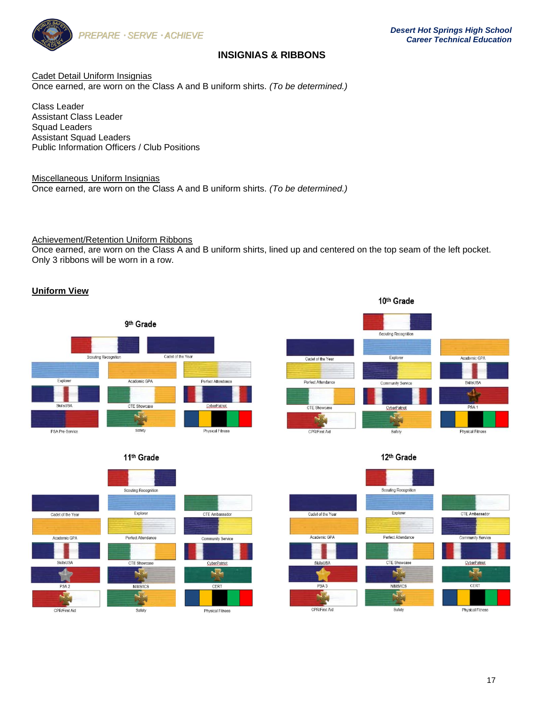

# **INSIGNIAS & RIBBONS**

Cadet Detail Uniform Insignias Once earned, are worn on the Class A and B uniform shirts. *(To be determined.)*

Class Leader Assistant Class Leader Squad Leaders Assistant Squad Leaders Public Information Officers / Club Positions

Miscellaneous Uniform Insignias Once earned, are worn on the Class A and B uniform shirts. *(To be determined.)*

Achievement/Retention Uniform Ribbons

Once earned, are worn on the Class A and B uniform shirts, lined up and centered on the top seam of the left pocket. Only 3 ribbons will be worn in a row.

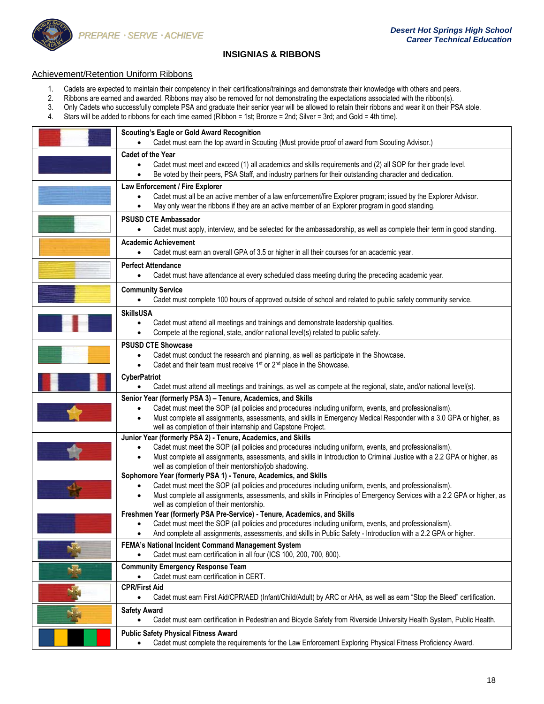

## **INSIGNIAS & RIBBONS**

#### Achievement/Retention Uniform Ribbons

- 1. Cadets are expected to maintain their competency in their certifications/trainings and demonstrate their knowledge with others and peers.<br>2. Ribbons are earned and awarded. Ribbons may also be removed for not demonstrat
- 2. Ribbons are earned and awarded. Ribbons may also be removed for not demonstrating the expectations associated with the ribbon(s).<br>3. Only Cadets who successfully complete PSA and graduate their senior year will be allow
- 3. Only Cadets who successfully complete PSA and graduate their senior year will be allowed to retain their ribbons and wear it on their PSA stole.<br>4. Stars will be added to ribbons for each time earned (Ribbon = 1st; Bron
- 4. Stars will be added to ribbons for each time earned (Ribbon = 1st; Bronze = 2nd; Silver = 3rd; and Gold = 4th time).

| <b>Scouting's Eagle or Gold Award Recognition</b><br>Cadet must earn the top award in Scouting (Must provide proof of award from Scouting Advisor.)                                                                                                                                                                                                                      |
|--------------------------------------------------------------------------------------------------------------------------------------------------------------------------------------------------------------------------------------------------------------------------------------------------------------------------------------------------------------------------|
| Cadet of the Year                                                                                                                                                                                                                                                                                                                                                        |
| Cadet must meet and exceed (1) all academics and skills requirements and (2) all SOP for their grade level.<br>Be voted by their peers, PSA Staff, and industry partners for their outstanding character and dedication.                                                                                                                                                 |
| Law Enforcement / Fire Explorer<br>Cadet must all be an active member of a law enforcement/fire Explorer program; issued by the Explorer Advisor.<br>May only wear the ribbons if they are an active member of an Explorer program in good standing.                                                                                                                     |
| <b>PSUSD CTE Ambassador</b><br>Cadet must apply, interview, and be selected for the ambassadorship, as well as complete their term in good standing.                                                                                                                                                                                                                     |
| <b>Academic Achievement</b><br>Cadet must earn an overall GPA of 3.5 or higher in all their courses for an academic year.<br>$\bullet$                                                                                                                                                                                                                                   |
| <b>Perfect Attendance</b><br>Cadet must have attendance at every scheduled class meeting during the preceding academic year.<br>$\bullet$                                                                                                                                                                                                                                |
| <b>Community Service</b><br>Cadet must complete 100 hours of approved outside of school and related to public safety community service.                                                                                                                                                                                                                                  |
| <b>SkillsUSA</b><br>Cadet must attend all meetings and trainings and demonstrate leadership qualities.<br>$\bullet$<br>Compete at the regional, state, and/or national level(s) related to public safety.                                                                                                                                                                |
| <b>PSUSD CTE Showcase</b><br>Cadet must conduct the research and planning, as well as participate in the Showcase.<br>Cadet and their team must receive 1 <sup>st</sup> or 2 <sup>nd</sup> place in the Showcase.<br>$\bullet$                                                                                                                                           |
| <b>CyberPatriot</b><br>Cadet must attend all meetings and trainings, as well as compete at the regional, state, and/or national level(s).                                                                                                                                                                                                                                |
| Senior Year (formerly PSA 3) - Tenure, Academics, and Skills<br>Cadet must meet the SOP (all policies and procedures including uniform, events, and professionalism).<br>$\bullet$<br>Must complete all assignments, assessments, and skills in Emergency Medical Responder with a 3.0 GPA or higher, as<br>well as completion of their internship and Capstone Project. |
| Junior Year (formerly PSA 2) - Tenure, Academics, and Skills<br>Cadet must meet the SOP (all policies and procedures including uniform, events, and professionalism).<br>Must complete all assignments, assessments, and skills in Introduction to Criminal Justice with a 2.2 GPA or higher, as<br>$\bullet$<br>well as completion of their mentorship/job shadowing.   |
| Sophomore Year (formerly PSA 1) - Tenure, Academics, and Skills<br>Cadet must meet the SOP (all policies and procedures including uniform, events, and professionalism).<br>Must complete all assignments, assessments, and skills in Principles of Emergency Services with a 2.2 GPA or higher, as<br>$\bullet$<br>well as completion of their mentorship.              |
| Freshmen Year (formerly PSA Pre-Service) - Tenure, Academics, and Skills<br>Cadet must meet the SOP (all policies and procedures including uniform, events, and professionalism).<br>And complete all assignments, assessments, and skills in Public Safety - Introduction with a 2.2 GPA or higher.                                                                     |
| FEMA's National Incident Command Management System<br>Cadet must earn certification in all four (ICS 100, 200, 700, 800).                                                                                                                                                                                                                                                |
| <b>Community Emergency Response Team</b><br>Cadet must earn certification in CERT.                                                                                                                                                                                                                                                                                       |
| <b>CPR/First Aid</b><br>Cadet must earn First Aid/CPR/AED (Infant/Child/Adult) by ARC or AHA, as well as earn "Stop the Bleed" certification.<br>$\bullet$                                                                                                                                                                                                               |
| <b>Safety Award</b><br>Cadet must earn certification in Pedestrian and Bicycle Safety from Riverside University Health System, Public Health.<br>$\bullet$                                                                                                                                                                                                               |
| <b>Public Safety Physical Fitness Award</b><br>Cadet must complete the requirements for the Law Enforcement Exploring Physical Fitness Proficiency Award.                                                                                                                                                                                                                |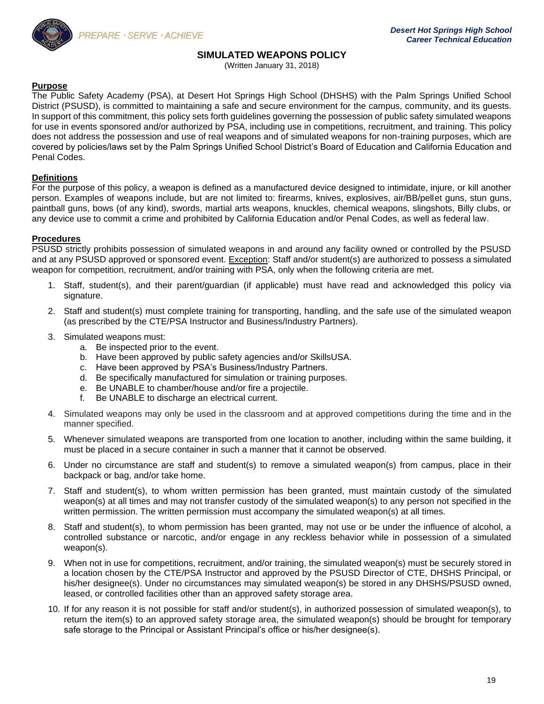

## **SIMULATED WEAPONS POLICY**

(Written January 31, 2018)

## **Purpose**

The Public Safety Academy (PSA), at Desert Hot Springs High School (DHSHS) with the Palm Springs Unified School District (PSUSD), is committed to maintaining a safe and secure environment for the campus, community, and its guests. In support of this commitment, this policy sets forth guidelines governing the possession of public safety simulated weapons for use in events sponsored and/or authorized by PSA, including use in competitions, recruitment, and training. This policy does not address the possession and use of real weapons and of simulated weapons for non-training purposes, which are covered by policies/laws set by the Palm Springs Unified School District's Board of Education and California Education and Penal Codes.

### **Definitions**

For the purpose of this policy, a weapon is defined as a manufactured device designed to intimidate, injure, or kill another person. Examples of weapons include, but are not limited to: firearms, knives, explosives, air/BB/pellet guns, stun guns, paintball guns, bows (of any kind), swords, martial arts weapons, knuckles, chemical weapons, slingshots, Billy clubs, or any device use to commit a crime and prohibited by California Education and/or Penal Codes, as well as federal law.

### **Procedures**

PSUSD strictly prohibits possession of simulated weapons in and around any facility owned or controlled by the PSUSD and at any PSUSD approved or sponsored event. Exception: Staff and/or student(s) are authorized to possess a simulated weapon for competition, recruitment, and/or training with PSA, only when the following criteria are met.

- 1. Staff, student(s), and their parent/guardian (if applicable) must have read and acknowledged this policy via signature.
- 2. Staff and student(s) must complete training for transporting, handling, and the safe use of the simulated weapon (as prescribed by the CTE/PSA Instructor and Business/Industry Partners).
- 3. Simulated weapons must:
	- a. Be inspected prior to the event.
	- b. Have been approved by public safety agencies and/or SkillsUSA.
	- c. Have been approved by PSA's Business/Industry Partners.
	- d. Be specifically manufactured for simulation or training purposes.
	- e. Be UNABLE to chamber/house and/or fire a projectile.
	- f. Be UNABLE to discharge an electrical current.
- 4. Simulated weapons may only be used in the classroom and at approved competitions during the time and in the manner specified.
- 5. Whenever simulated weapons are transported from one location to another, including within the same building, it must be placed in a secure container in such a manner that it cannot be observed.
- 6. Under no circumstance are staff and student(s) to remove a simulated weapon(s) from campus, place in their backpack or bag, and/or take home.
- 7. Staff and student(s), to whom written permission has been granted, must maintain custody of the simulated weapon(s) at all times and may not transfer custody of the simulated weapon(s) to any person not specified in the written permission. The written permission must accompany the simulated weapon(s) at all times.
- 8. Staff and student(s), to whom permission has been granted, may not use or be under the influence of alcohol, a controlled substance or narcotic, and/or engage in any reckless behavior while in possession of a simulated weapon(s).
- 9. When not in use for competitions, recruitment, and/or training, the simulated weapon(s) must be securely stored in a location chosen by the CTE/PSA Instructor and approved by the PSUSD Director of CTE, DHSHS Principal, or his/her designee(s). Under no circumstances may simulated weapon(s) be stored in any DHSHS/PSUSD owned, leased, or controlled facilities other than an approved safety storage area.
- 10. If for any reason it is not possible for staff and/or student(s), in authorized possession of simulated weapon(s), to return the item(s) to an approved safety storage area, the simulated weapon(s) should be brought for temporary safe storage to the Principal or Assistant Principal's office or his/her designee(s).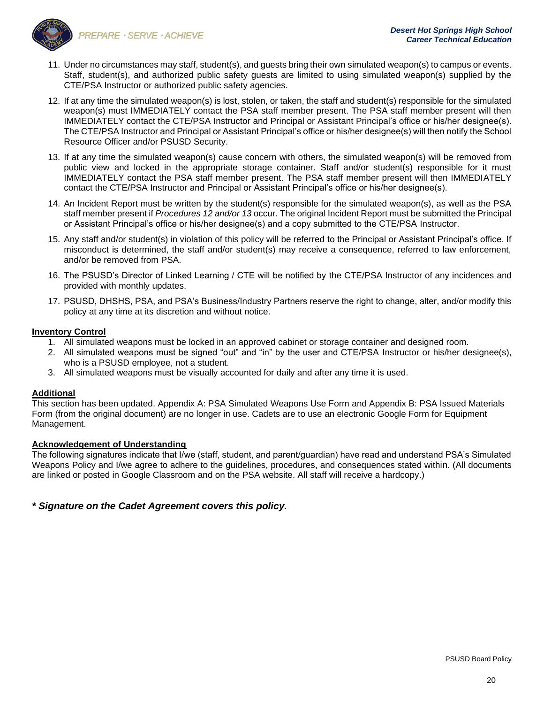

- PREPARE · SERVE · ACHIEVE
- 11. Under no circumstances may staff, student(s), and guests bring their own simulated weapon(s) to campus or events. Staff, student(s), and authorized public safety guests are limited to using simulated weapon(s) supplied by the CTE/PSA Instructor or authorized public safety agencies.
- 12. If at any time the simulated weapon(s) is lost, stolen, or taken, the staff and student(s) responsible for the simulated weapon(s) must IMMEDIATELY contact the PSA staff member present. The PSA staff member present will then IMMEDIATELY contact the CTE/PSA Instructor and Principal or Assistant Principal's office or his/her designee(s). The CTE/PSA Instructor and Principal or Assistant Principal's office or his/her designee(s) will then notify the School Resource Officer and/or PSUSD Security.
- 13. If at any time the simulated weapon(s) cause concern with others, the simulated weapon(s) will be removed from public view and locked in the appropriate storage container. Staff and/or student(s) responsible for it must IMMEDIATELY contact the PSA staff member present. The PSA staff member present will then IMMEDIATELY contact the CTE/PSA Instructor and Principal or Assistant Principal's office or his/her designee(s).
- 14. An Incident Report must be written by the student(s) responsible for the simulated weapon(s), as well as the PSA staff member present if *Procedures 12 and/or 13* occur. The original Incident Report must be submitted the Principal or Assistant Principal's office or his/her designee(s) and a copy submitted to the CTE/PSA Instructor.
- 15. Any staff and/or student(s) in violation of this policy will be referred to the Principal or Assistant Principal's office. If misconduct is determined, the staff and/or student(s) may receive a consequence, referred to law enforcement, and/or be removed from PSA.
- 16. The PSUSD's Director of Linked Learning / CTE will be notified by the CTE/PSA Instructor of any incidences and provided with monthly updates.
- 17. PSUSD, DHSHS, PSA, and PSA's Business/Industry Partners reserve the right to change, alter, and/or modify this policy at any time at its discretion and without notice.

## **Inventory Control**

- 1. All simulated weapons must be locked in an approved cabinet or storage container and designed room.
- 2. All simulated weapons must be signed "out" and "in" by the user and CTE/PSA Instructor or his/her designee(s), who is a PSUSD employee, not a student.
- 3. All simulated weapons must be visually accounted for daily and after any time it is used.

## **Additional**

This section has been updated. Appendix A: PSA Simulated Weapons Use Form and Appendix B: PSA Issued Materials Form (from the original document) are no longer in use. Cadets are to use an electronic Google Form for Equipment Management.

## **Acknowledgement of Understanding**

The following signatures indicate that I/we (staff, student, and parent/guardian) have read and understand PSA's Simulated Weapons Policy and I/we agree to adhere to the guidelines, procedures, and consequences stated within. (All documents are linked or posted in Google Classroom and on the PSA website. All staff will receive a hardcopy.)

# *\* Signature on the Cadet Agreement covers this policy.*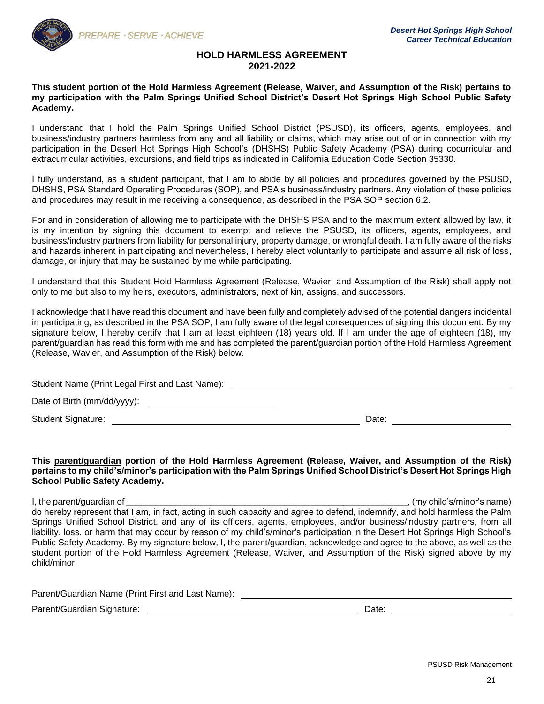

### **HOLD HARMLESS AGREEMENT 2021-2022**

### **This student portion of the Hold Harmless Agreement (Release, Waiver, and Assumption of the Risk) pertains to my participation with the Palm Springs Unified School District's Desert Hot Springs High School Public Safety Academy.**

I understand that I hold the Palm Springs Unified School District (PSUSD), its officers, agents, employees, and business/industry partners harmless from any and all liability or claims, which may arise out of or in connection with my participation in the Desert Hot Springs High School's (DHSHS) Public Safety Academy (PSA) during cocurricular and extracurricular activities, excursions, and field trips as indicated in California Education Code Section 35330.

I fully understand, as a student participant, that I am to abide by all policies and procedures governed by the PSUSD, DHSHS, PSA Standard Operating Procedures (SOP), and PSA's business/industry partners. Any violation of these policies and procedures may result in me receiving a consequence, as described in the PSA SOP section 6.2.

For and in consideration of allowing me to participate with the DHSHS PSA and to the maximum extent allowed by law, it is my intention by signing this document to exempt and relieve the PSUSD, its officers, agents, employees, and business/industry partners from liability for personal injury, property damage, or wrongful death. I am fully aware of the risks and hazards inherent in participating and nevertheless, I hereby elect voluntarily to participate and assume all risk of loss, damage, or injury that may be sustained by me while participating.

I understand that this Student Hold Harmless Agreement (Release, Wavier, and Assumption of the Risk) shall apply not only to me but also to my heirs, executors, administrators, next of kin, assigns, and successors.

I acknowledge that I have read this document and have been fully and completely advised of the potential dangers incidental in participating, as described in the PSA SOP; I am fully aware of the legal consequences of signing this document. By my signature below, I hereby certify that I am at least eighteen (18) years old. If I am under the age of eighteen (18), my parent/guardian has read this form with me and has completed the parent/guardian portion of the Hold Harmless Agreement (Release, Wavier, and Assumption of the Risk) below.

Student Name (Print Legal First and Last Name): Date of Birth (mm/dd/yyyy):  $\sqrt{2\pi}$ Student Signature: Date: Date: Date: Date: Date: Date: Date: Date: Date: Date: Date: Date: Date: Date: Date: Date: Date: Date: Date: Date: Date: Date: Date: Date: Date: Date: Date: Date: Date: Date: Date: Date: Date: Date:

#### **This parent/guardian portion of the Hold Harmless Agreement (Release, Waiver, and Assumption of the Risk) pertains to my child's/minor's participation with the Palm Springs Unified School District's Desert Hot Springs High School Public Safety Academy.**

I, the parent/guardian of \_\_\_\_\_\_\_\_\_\_\_\_\_\_\_\_\_\_\_\_\_\_\_\_\_\_\_\_\_\_\_\_\_\_\_\_\_\_\_\_\_\_\_\_\_\_\_\_\_\_\_\_\_\_\_\_\_, (my child's/minor's name) do hereby represent that I am, in fact, acting in such capacity and agree to defend, indemnify, and hold harmless the Palm Springs Unified School District, and any of its officers, agents, employees, and/or business/industry partners, from all liability, loss, or harm that may occur by reason of my child's/minor's participation in the Desert Hot Springs High School's Public Safety Academy. By my signature below, I, the parent/guardian, acknowledge and agree to the above, as well as the student portion of the Hold Harmless Agreement (Release, Waiver, and Assumption of the Risk) signed above by my child/minor.

Parent/Guardian Name (Print First and Last Name): \_\_\_\_\_\_\_\_\_\_\_\_\_\_\_\_\_\_\_\_\_\_\_\_\_\_\_\_\_\_

Parent/Guardian Signature: Date: